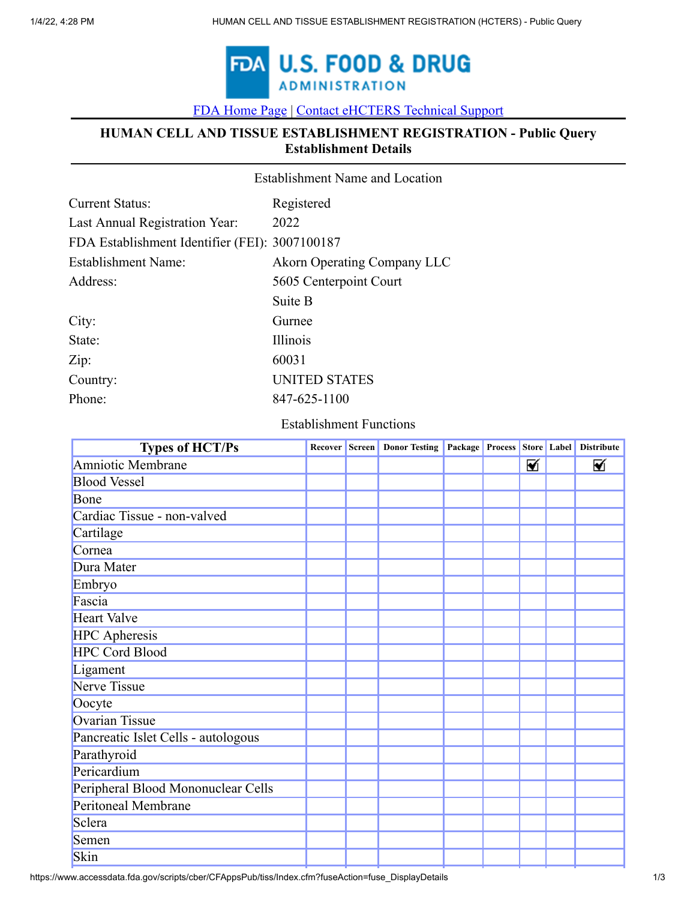

[FDA Home Page](https://www.fda.gov/default.htm) [|](https://www.fda.gov/) [Contact eHCTERS Technical Support](javascript:void(0);)

### **HUMAN CELL AND TISSUE ESTABLISHMENT REGISTRATION - Public Query Establishment Details**

|                                                | <b>Establishment Name and Location</b> |  |  |  |  |
|------------------------------------------------|----------------------------------------|--|--|--|--|
| Current Status:                                | Registered                             |  |  |  |  |
| Last Annual Registration Year:                 | 2022                                   |  |  |  |  |
| FDA Establishment Identifier (FEI): 3007100187 |                                        |  |  |  |  |
| <b>Establishment Name:</b>                     | <b>Akorn Operating Company LLC</b>     |  |  |  |  |
| Address:                                       | 5605 Centerpoint Court                 |  |  |  |  |
|                                                | Suite B                                |  |  |  |  |
| City:                                          | Gurnee                                 |  |  |  |  |
| State:                                         | Illinois                               |  |  |  |  |
| Zip:                                           | 60031                                  |  |  |  |  |
| Country:                                       | <b>UNITED STATES</b>                   |  |  |  |  |
| Phone:                                         | 847-625-1100                           |  |  |  |  |
|                                                |                                        |  |  |  |  |

#### Establishment Functions

| <b>Types of HCT/Ps</b>              |  | Recover Screen   Donor Testing   Package   Process   Store   Label |  |   | <b>Distribute</b> |
|-------------------------------------|--|--------------------------------------------------------------------|--|---|-------------------|
| Amniotic Membrane                   |  |                                                                    |  | ⊠ | ⊠                 |
| <b>Blood Vessel</b>                 |  |                                                                    |  |   |                   |
| Bone                                |  |                                                                    |  |   |                   |
| Cardiac Tissue - non-valved         |  |                                                                    |  |   |                   |
| Cartilage                           |  |                                                                    |  |   |                   |
| Cornea                              |  |                                                                    |  |   |                   |
| Dura Mater                          |  |                                                                    |  |   |                   |
| Embryo                              |  |                                                                    |  |   |                   |
| Fascia                              |  |                                                                    |  |   |                   |
| <b>Heart Valve</b>                  |  |                                                                    |  |   |                   |
| <b>HPC</b> Apheresis                |  |                                                                    |  |   |                   |
| <b>HPC Cord Blood</b>               |  |                                                                    |  |   |                   |
| Ligament                            |  |                                                                    |  |   |                   |
| Nerve Tissue                        |  |                                                                    |  |   |                   |
| Oocyte                              |  |                                                                    |  |   |                   |
| <b>Ovarian Tissue</b>               |  |                                                                    |  |   |                   |
| Pancreatic Islet Cells - autologous |  |                                                                    |  |   |                   |
| Parathyroid                         |  |                                                                    |  |   |                   |
| Pericardium                         |  |                                                                    |  |   |                   |
| Peripheral Blood Mononuclear Cells  |  |                                                                    |  |   |                   |
| Peritoneal Membrane                 |  |                                                                    |  |   |                   |
| Sclera                              |  |                                                                    |  |   |                   |
| Semen                               |  |                                                                    |  |   |                   |
| Skin                                |  |                                                                    |  |   |                   |

https://www.accessdata.fda.gov/scripts/cber/CFAppsPub/tiss/Index.cfm?fuseAction=fuse\_DisplayDetails 1/3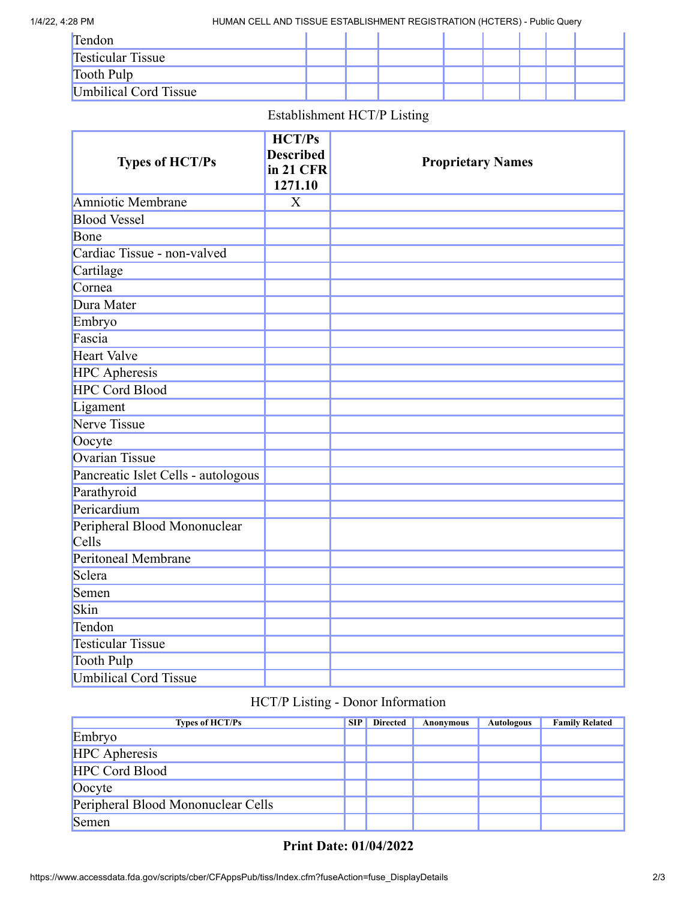1/4/22, 4:28 PM HUMAN CELL AND TISSUE ESTABLISHMENT REGISTRATION (HCTERS) - Public Query

| Tendon                   |  |  |  |  |
|--------------------------|--|--|--|--|
| <b>Testicular Tissue</b> |  |  |  |  |
| Tooth Pulp               |  |  |  |  |
| Umbilical Cord Tissue    |  |  |  |  |

## Establishment HCT/P Listing

|                                     | <b>HCT/Ps</b>    |                          |
|-------------------------------------|------------------|--------------------------|
| <b>Types of HCT/Ps</b>              | <b>Described</b> | <b>Proprietary Names</b> |
|                                     | in 21 CFR        |                          |
|                                     | 1271.10          |                          |
| Amniotic Membrane                   | $\overline{X}$   |                          |
| <b>Blood Vessel</b>                 |                  |                          |
| Bone                                |                  |                          |
| Cardiac Tissue - non-valved         |                  |                          |
| Cartilage                           |                  |                          |
| Cornea                              |                  |                          |
| Dura Mater                          |                  |                          |
| Embryo                              |                  |                          |
| Fascia                              |                  |                          |
| <b>Heart Valve</b>                  |                  |                          |
| <b>HPC</b> Apheresis                |                  |                          |
| <b>HPC Cord Blood</b>               |                  |                          |
| Ligament                            |                  |                          |
| <b>Nerve Tissue</b>                 |                  |                          |
| Oocyte                              |                  |                          |
| <b>Ovarian Tissue</b>               |                  |                          |
| Pancreatic Islet Cells - autologous |                  |                          |
| Parathyroid                         |                  |                          |
| Pericardium                         |                  |                          |
| Peripheral Blood Mononuclear        |                  |                          |
| Cells                               |                  |                          |
| <b>Peritoneal Membrane</b>          |                  |                          |
| Sclera                              |                  |                          |
| Semen                               |                  |                          |
| Skin                                |                  |                          |
| Tendon                              |                  |                          |
| <b>Testicular Tissue</b>            |                  |                          |
| <b>Tooth Pulp</b>                   |                  |                          |
| <b>Umbilical Cord Tissue</b>        |                  |                          |

## HCT/P Listing - Donor Information

| <b>Types of HCT/Ps</b>             | <b>SIP</b> | <b>Directed</b> | Anonymous | <b>Autologous</b> | <b>Family Related</b> |
|------------------------------------|------------|-----------------|-----------|-------------------|-----------------------|
| Embryo                             |            |                 |           |                   |                       |
| <b>HPC</b> Apheresis               |            |                 |           |                   |                       |
| HPC Cord Blood                     |            |                 |           |                   |                       |
| Oocyte                             |            |                 |           |                   |                       |
| Peripheral Blood Mononuclear Cells |            |                 |           |                   |                       |
| Semen                              |            |                 |           |                   |                       |

# **Print Date: 01/04/2022**